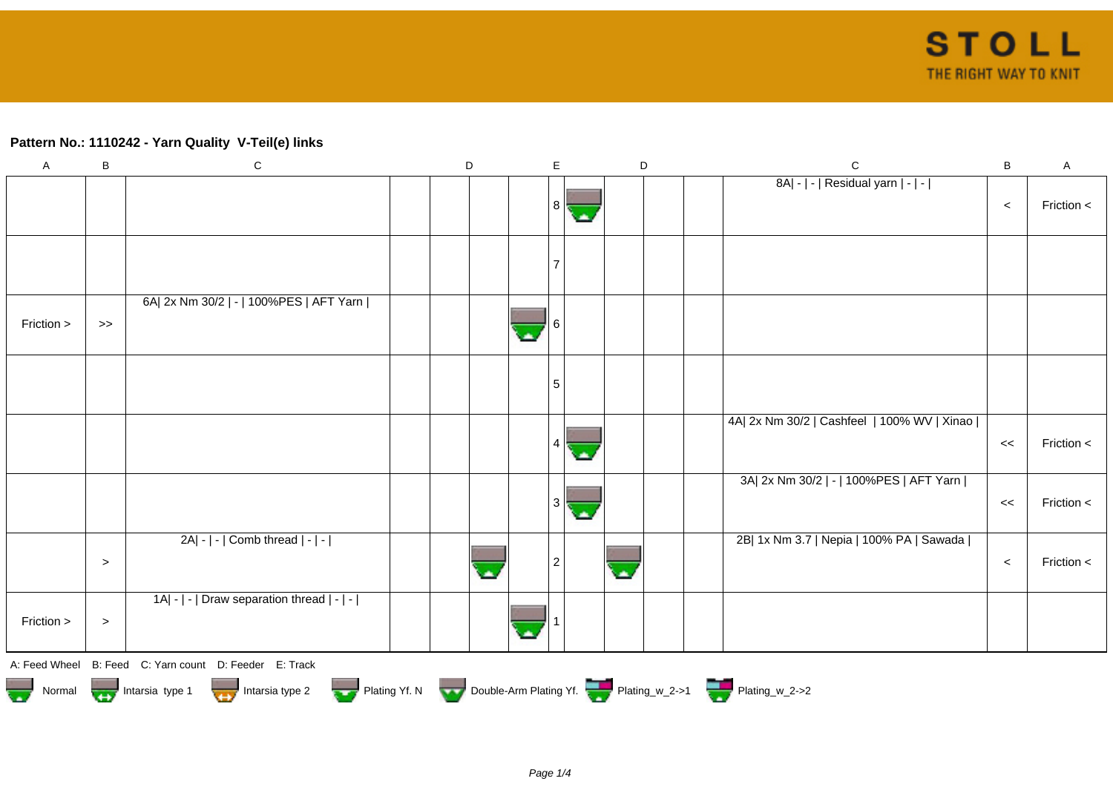## **Pattern No.: 1110242 - Yarn Quality V-Teil(e) links**

| $\boldsymbol{\mathsf{A}}$ | B                                                                                                     | ${\bf C}$                                              |  | D |  | E              |  | D  |  |  | $\mathsf C$                                 | B     | A          |
|---------------------------|-------------------------------------------------------------------------------------------------------|--------------------------------------------------------|--|---|--|----------------|--|----|--|--|---------------------------------------------|-------|------------|
|                           |                                                                                                       |                                                        |  |   |  | 8 <sup>1</sup> |  |    |  |  | 8A  -   -   Residual yarn   -   -           | $\,<$ | Friction < |
|                           |                                                                                                       |                                                        |  |   |  |                |  |    |  |  |                                             |       |            |
|                           |                                                                                                       |                                                        |  |   |  |                |  |    |  |  |                                             |       |            |
|                           |                                                                                                       |                                                        |  |   |  |                |  |    |  |  |                                             |       |            |
| Friction >                | $>>$                                                                                                  | 6A  2x Nm 30/2   -   100%PES   AFT Yarn                |  |   |  |                |  |    |  |  |                                             |       |            |
|                           |                                                                                                       |                                                        |  |   |  | 5              |  |    |  |  |                                             |       |            |
|                           |                                                                                                       |                                                        |  |   |  |                |  |    |  |  | 4A  2x Nm 30/2   Cashfeel   100% WV   Xinao | <<    | Friction < |
|                           |                                                                                                       |                                                        |  |   |  | 3              |  |    |  |  | 3A  2x Nm 30/2   -   100%PES   AFT Yarn     | <<    | Friction < |
|                           | $\, >$                                                                                                | $2A - - $ Comb thread $ - - $                          |  |   |  | 2              |  | а. |  |  | 2B  1x Nm 3.7   Nepia   100% PA   Sawada    | $\,<$ | Friction < |
| Friction >                | $\, >$                                                                                                | 1A  -   -   Draw separation thread   -   -             |  |   |  |                |  |    |  |  |                                             |       |            |
|                           |                                                                                                       | A: Feed Wheel B: Feed C: Yarn count D: Feeder E: Track |  |   |  |                |  |    |  |  |                                             |       |            |
|                           | Normal Montain Strategy Intarsia type 2 Plating Yf. N Double-Arm Plating Yf. N Double-Arm Plating Yf. |                                                        |  |   |  |                |  |    |  |  |                                             |       |            |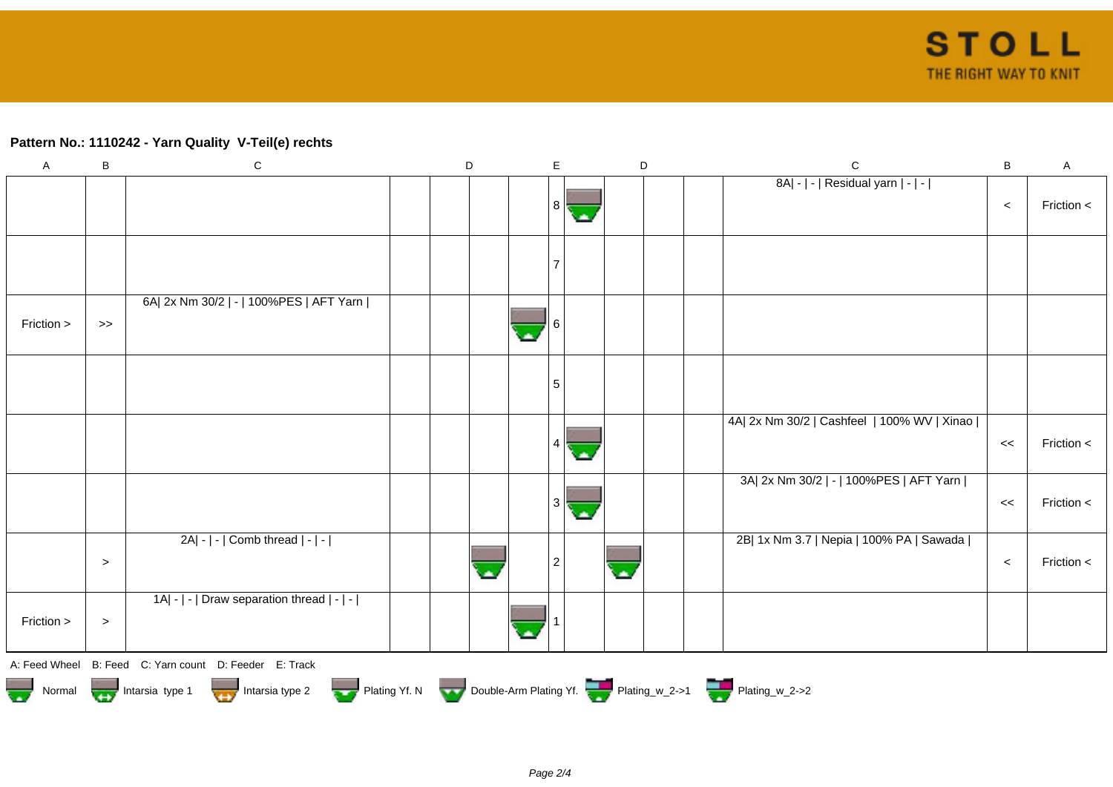## **Pattern No.: 1110242 - Yarn Quality V-Teil(e) rechts**

| $\mathsf A$ | B                                                                                                     | ${\bf C}$                                              |  | D |  | E              |  | D  |  |  | $\mathsf C$                                 | B     | A          |
|-------------|-------------------------------------------------------------------------------------------------------|--------------------------------------------------------|--|---|--|----------------|--|----|--|--|---------------------------------------------|-------|------------|
|             |                                                                                                       |                                                        |  |   |  | 8 <sup>1</sup> |  |    |  |  | 8A  -   -   Residual yarn   -   -           | $\,<$ | Friction < |
|             |                                                                                                       |                                                        |  |   |  |                |  |    |  |  |                                             |       |            |
|             |                                                                                                       |                                                        |  |   |  |                |  |    |  |  |                                             |       |            |
|             |                                                                                                       |                                                        |  |   |  |                |  |    |  |  |                                             |       |            |
| Friction >  | $>>$                                                                                                  | 6A  2x Nm 30/2   -   100%PES   AFT Yarn                |  |   |  |                |  |    |  |  |                                             |       |            |
|             |                                                                                                       |                                                        |  |   |  | 5              |  |    |  |  |                                             |       |            |
|             |                                                                                                       |                                                        |  |   |  |                |  |    |  |  | 4A  2x Nm 30/2   Cashfeel   100% WV   Xinao | <<    | Friction < |
|             |                                                                                                       |                                                        |  |   |  | 3              |  |    |  |  | 3A  2x Nm 30/2   -   100%PES   AFT Yarn     | <<    | Friction < |
|             | $\, >$                                                                                                | $2A - - $ Comb thread $ - - $                          |  |   |  | 2              |  | а. |  |  | 2B  1x Nm 3.7   Nepia   100% PA   Sawada    | $\,<$ | Friction < |
| Friction >  | $\, >$                                                                                                | 1A  -   -   Draw separation thread   -   -             |  |   |  |                |  |    |  |  |                                             |       |            |
|             |                                                                                                       | A: Feed Wheel B: Feed C: Yarn count D: Feeder E: Track |  |   |  |                |  |    |  |  |                                             |       |            |
|             | Normal Montain Strategy Intarsia type 2 Plating Yf. N Double-Arm Plating Yf. N Double-Arm Plating Yf. |                                                        |  |   |  |                |  |    |  |  |                                             |       |            |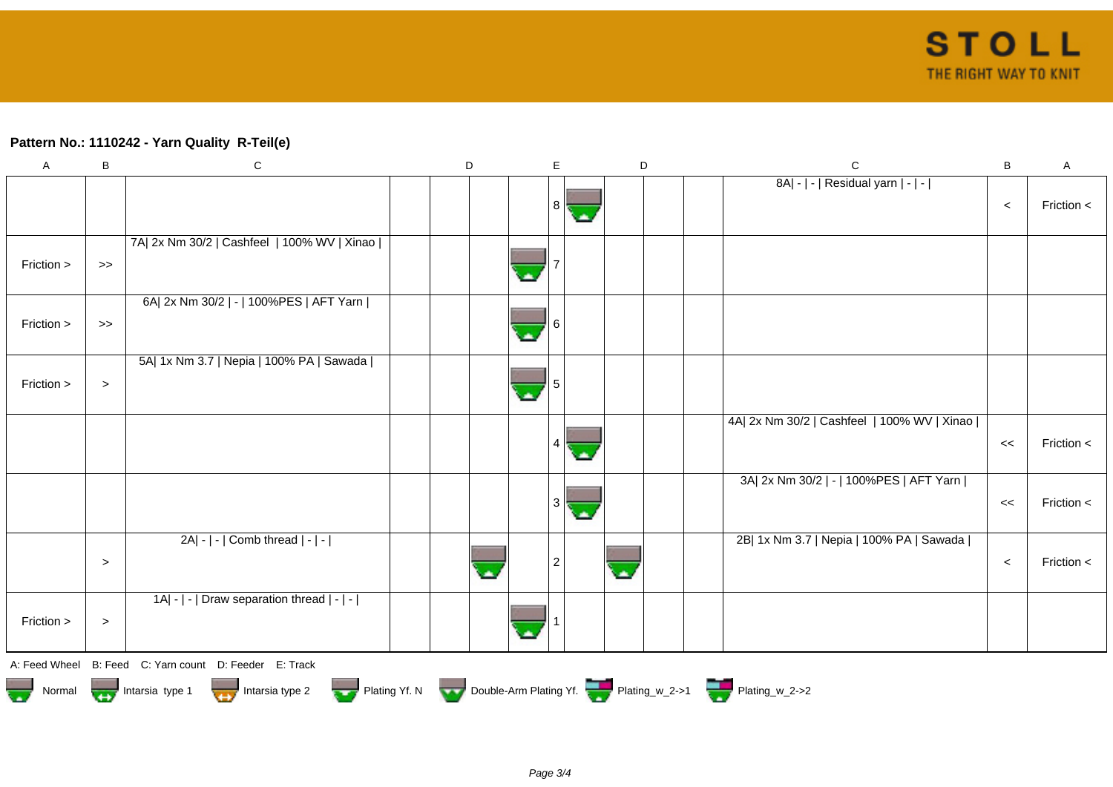## **Pattern No.: 1110242 - Yarn Quality R-Teil(e)**

| $\mathsf A$                                                                            | B      | ${\bf C}$                                   |  | D |  | E              | D  |  | $\mathbf C$                                 | $\sf B$ | A          |
|----------------------------------------------------------------------------------------|--------|---------------------------------------------|--|---|--|----------------|----|--|---------------------------------------------|---------|------------|
|                                                                                        |        |                                             |  |   |  |                |    |  | 8A  -   -   Residual yarn   -   -           |         |            |
|                                                                                        |        |                                             |  |   |  | 8              |    |  |                                             | $\,<$   | Friction < |
|                                                                                        |        | 7A  2x Nm 30/2   Cashfeel   100% WV   Xinao |  |   |  |                |    |  |                                             |         |            |
| Friction >                                                                             | $>\!>$ |                                             |  |   |  |                |    |  |                                             |         |            |
| Friction >                                                                             | $>$    | 6A  2x Nm 30/2   -   100%PES   AFT Yarn     |  |   |  |                |    |  |                                             |         |            |
|                                                                                        |        |                                             |  |   |  |                |    |  |                                             |         |            |
|                                                                                        |        | 5A  1x Nm 3.7   Nepia   100% PA   Sawada    |  |   |  |                |    |  |                                             |         |            |
| Friction >                                                                             | $\, >$ |                                             |  |   |  |                |    |  |                                             |         |            |
|                                                                                        |        |                                             |  |   |  |                |    |  | 4A  2x Nm 30/2   Cashfeel   100% WV   Xinao |         |            |
|                                                                                        |        |                                             |  |   |  |                |    |  |                                             | $\,<$   | Friction < |
|                                                                                        |        |                                             |  |   |  |                |    |  | 3A  2x Nm 30/2   -   100%PES   AFT Yarn     |         |            |
|                                                                                        |        |                                             |  |   |  | 3              |    |  |                                             | <<      | Friction < |
|                                                                                        |        | $2A - - $ Comb thread $ - - $               |  |   |  |                |    |  | 2B  1x Nm 3.7   Nepia   100% PA   Sawada    |         |            |
|                                                                                        | $\, >$ |                                             |  |   |  | $\overline{2}$ | ×. |  |                                             | $\,<$   | Friction < |
|                                                                                        |        | 1A  -   -   Draw separation thread   -   -  |  |   |  |                |    |  |                                             |         |            |
| Friction >                                                                             | $\, >$ |                                             |  |   |  |                |    |  |                                             |         |            |
| A: Feed Wheel                                                                          |        | B: Feed C: Yarn count D: Feeder E: Track    |  |   |  |                |    |  |                                             |         |            |
| Normal <b>Double-Arm Plating Yf. N</b> Double-Arm Plating Yf. N Double-Arm Plating Yf. |        |                                             |  |   |  |                |    |  |                                             |         |            |